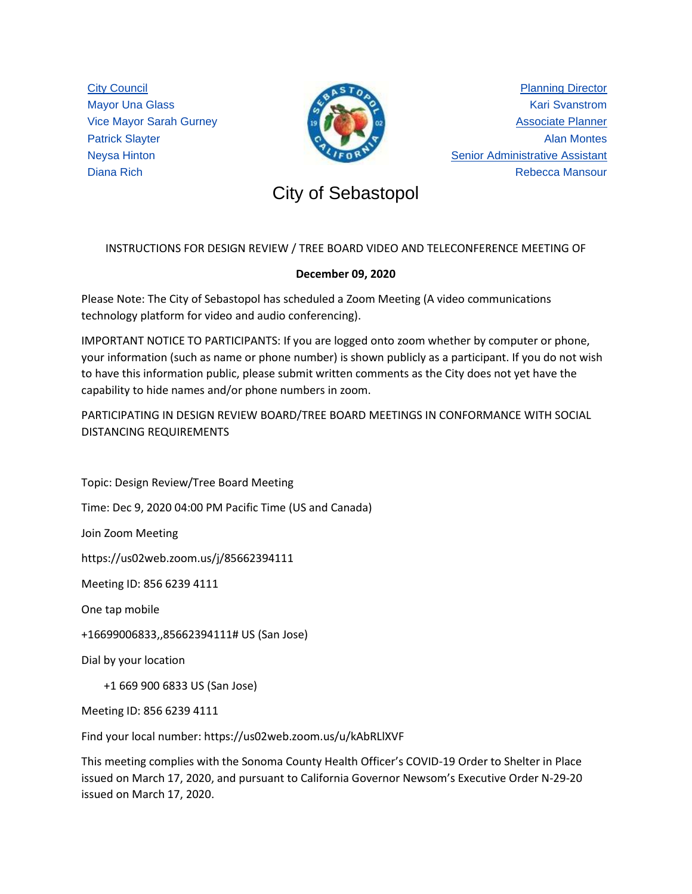City Council Mayor Una Glass Vice Mayor Sarah Gurney Patrick Slayter Neysa Hinton Diana Rich



Planning Director Kari Svanstrom Associate Planner Alan Montes Senior Administrative Assistant Rebecca Mansour

# City of Sebastopol City of Sebastopol

## INSTRUCTIONS FOR DESIGN REVIEW / TREE BOARD VIDEO AND TELECONFERENCE MEETING OF

## **December 09, 2020**

Please Note: The City of Sebastopol has scheduled a Zoom Meeting (A video communications technology platform for video and audio conferencing).

IMPORTANT NOTICE TO PARTICIPANTS: If you are logged onto zoom whether by computer or phone, your information (such as name or phone number) is shown publicly as a participant. If you do not wish to have this information public, please submit written comments as the City does not yet have the capability to hide names and/or phone numbers in zoom.

PARTICIPATING IN DESIGN REVIEW BOARD/TREE BOARD MEETINGS IN CONFORMANCE WITH SOCIAL DISTANCING REQUIREMENTS

Topic: Design Review/Tree Board Meeting

Time: Dec 9, 2020 04:00 PM Pacific Time (US and Canada)

Join Zoom Meeting

https://us02web.zoom.us/j/85662394111

Meeting ID: 856 6239 4111

One tap mobile

+16699006833,,85662394111# US (San Jose)

Dial by your location

+1 669 900 6833 US (San Jose)

Meeting ID: 856 6239 4111

Find your local number: https://us02web.zoom.us/u/kAbRLlXVF

This meeting complies with the Sonoma County Health Officer's COVID-19 Order to Shelter in Place issued on March 17, 2020, and pursuant to California Governor Newsom's Executive Order N-29-20 issued on March 17, 2020.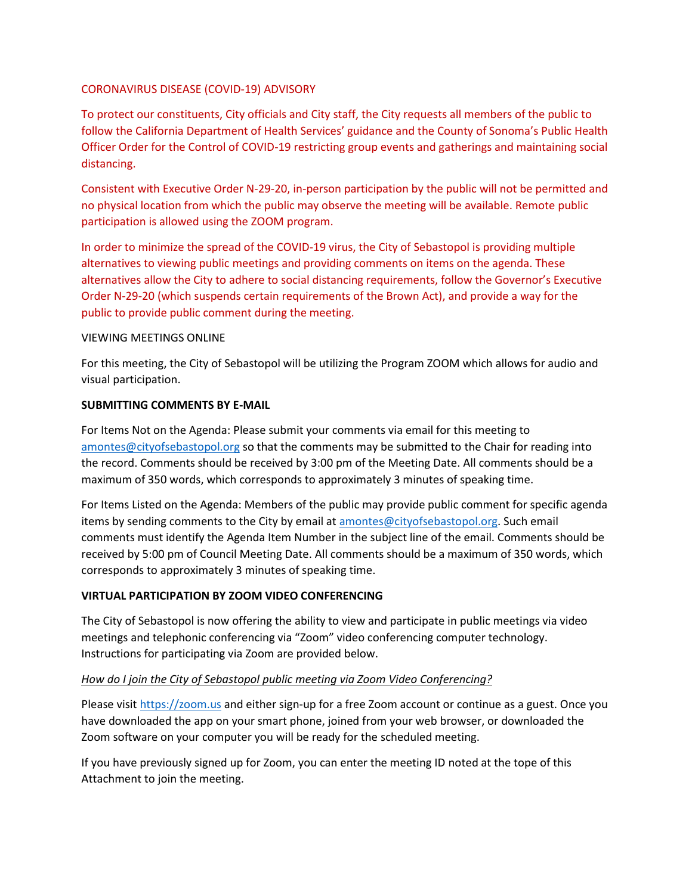#### CORONAVIRUS DISEASE (COVID-19) ADVISORY

To protect our constituents, City officials and City staff, the City requests all members of the public to follow the California Department of Health Services' guidance and the County of Sonoma's Public Health Officer Order for the Control of COVID-19 restricting group events and gatherings and maintaining social distancing.

Consistent with Executive Order N-29-20, in-person participation by the public will not be permitted and no physical location from which the public may observe the meeting will be available. Remote public participation is allowed using the ZOOM program.

In order to minimize the spread of the COVID-19 virus, the City of Sebastopol is providing multiple alternatives to viewing public meetings and providing comments on items on the agenda. These alternatives allow the City to adhere to social distancing requirements, follow the Governor's Executive Order N-29-20 (which suspends certain requirements of the Brown Act), and provide a way for the public to provide public comment during the meeting.

#### VIEWING MEETINGS ONLINE

For this meeting, the City of Sebastopol will be utilizing the Program ZOOM which allows for audio and visual participation.

#### **SUBMITTING COMMENTS BY E-MAIL**

For Items Not on the Agenda: Please submit your comments via email for this meeting to [amontes@cityofsebastopol.org](mailto:amontes@cityofsebastopol.org) so that the comments may be submitted to the Chair for reading into the record. Comments should be received by 3:00 pm of the Meeting Date. All comments should be a maximum of 350 words, which corresponds to approximately 3 minutes of speaking time.

For Items Listed on the Agenda: Members of the public may provide public comment for specific agenda items by sending comments to the City by email at [amontes@cityofsebastopol.org.](mailto:amontes@cityofsebastopol.org) Such email comments must identify the Agenda Item Number in the subject line of the email. Comments should be received by 5:00 pm of Council Meeting Date. All comments should be a maximum of 350 words, which corresponds to approximately 3 minutes of speaking time.

## **VIRTUAL PARTICIPATION BY ZOOM VIDEO CONFERENCING**

The City of Sebastopol is now offering the ability to view and participate in public meetings via video meetings and telephonic conferencing via "Zoom" video conferencing computer technology. Instructions for participating via Zoom are provided below.

## *How do I join the City of Sebastopol public meeting via Zoom Video Conferencing?*

Please visi[t https://zoom.us](https://zoom.us/) and either sign-up for a free Zoom account or continue as a guest. Once you have downloaded the app on your smart phone, joined from your web browser, or downloaded the Zoom software on your computer you will be ready for the scheduled meeting.

If you have previously signed up for Zoom, you can enter the meeting ID noted at the tope of this Attachment to join the meeting.